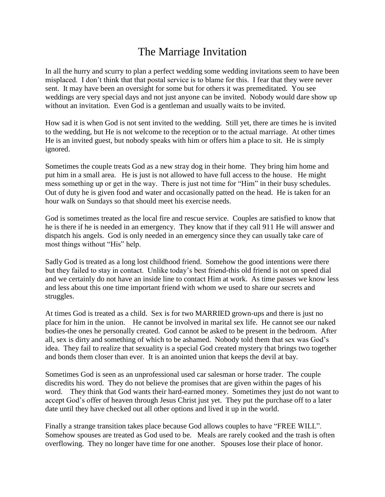## The Marriage Invitation

In all the hurry and scurry to plan a perfect wedding some wedding invitations seem to have been misplaced. I don't think that that postal service is to blame for this. I fear that they were never sent. It may have been an oversight for some but for others it was premeditated. You see weddings are very special days and not just anyone can be invited. Nobody would dare show up without an invitation. Even God is a gentleman and usually waits to be invited.

How sad it is when God is not sent invited to the wedding. Still yet, there are times he is invited to the wedding, but He is not welcome to the reception or to the actual marriage. At other times He is an invited guest, but nobody speaks with him or offers him a place to sit. He is simply ignored.

Sometimes the couple treats God as a new stray dog in their home. They bring him home and put him in a small area. He is just is not allowed to have full access to the house. He might mess something up or get in the way. There is just not time for "Him" in their busy schedules. Out of duty he is given food and water and occasionally patted on the head. He is taken for an hour walk on Sundays so that should meet his exercise needs.

God is sometimes treated as the local fire and rescue service. Couples are satisfied to know that he is there if he is needed in an emergency. They know that if they call 911 He will answer and dispatch his angels. God is only needed in an emergency since they can usually take care of most things without "His" help.

Sadly God is treated as a long lost childhood friend. Somehow the good intentions were there but they failed to stay in contact. Unlike today's best friend-this old friend is not on speed dial and we certainly do not have an inside line to contact Him at work. As time passes we know less and less about this one time important friend with whom we used to share our secrets and struggles.

At times God is treated as a child. Sex is for two MARRIED grown-ups and there is just no place for him in the union. He cannot be involved in marital sex life. He cannot see our naked bodies-the ones he personally created. God cannot be asked to be present in the bedroom. After all, sex is dirty and something of which to be ashamed. Nobody told them that sex was God's idea. They fail to realize that sexuality is a special God created mystery that brings two together and bonds them closer than ever. It is an anointed union that keeps the devil at bay.

Sometimes God is seen as an unprofessional used car salesman or horse trader. The couple discredits his word. They do not believe the promises that are given within the pages of his word. They think that God wants their hard-earned money. Sometimes they just do not want to accept God's offer of heaven through Jesus Christ just yet. They put the purchase off to a later date until they have checked out all other options and lived it up in the world.

Finally a strange transition takes place because God allows couples to have "FREE WILL". Somehow spouses are treated as God used to be. Meals are rarely cooked and the trash is often overflowing. They no longer have time for one another. Spouses lose their place of honor.